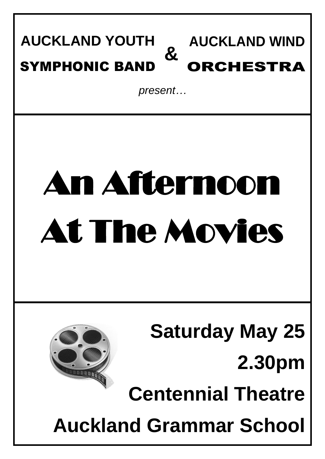#### **AUCKLAND WIND**  ORCHESTRA **AUCKLAND YOUTH** SYMPHONIC BAND **&**

*present…*

# An Afternoon At The Movies

**Saturday May 25 2.30pm Centennial Theatre**

**Auckland Grammar School**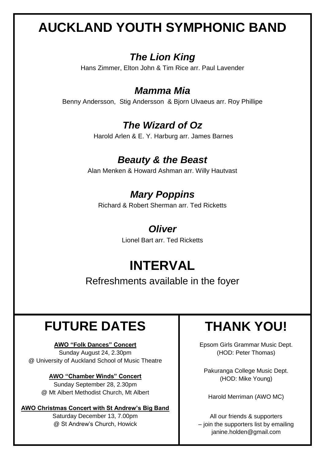# **AUCKLAND YOUTH SYMPHONIC BAND**

## *The Lion King*

Hans Zimmer, Elton John & Tim Rice arr. Paul Lavender

#### *Mamma Mia*

Benny Andersson, Stig Andersson & Bjorn Ulvaeus arr. Roy Phillipe

## *The Wizard of Oz*

Harold Arlen & E. Y. Harburg arr. James Barnes

## *Beauty & the Beast*

Alan Menken & Howard Ashman arr. Willy Hautvast

# *Mary Poppins*

Richard & Robert Sherman arr. Ted Ricketts

#### *Oliver*

Lionel Bart arr. Ted Ricketts

# **INTERVAL**

Refreshments available in the foyer

# **FUTURE DATES**

#### **AWO "Folk Dances" Concert**

Sunday August 24, 2.30pm @ University of Auckland School of Music Theatre

#### **AWO "Chamber Winds" Concert**

Sunday September 28, 2.30pm @ Mt Albert Methodist Church, Mt Albert

#### **AWO Christmas Concert with St Andrew's Big Band**

Saturday December 13, 7.00pm @ St Andrew's Church, Howick

# **THANK YOU!**

Epsom Girls Grammar Music Dept. (HOD: Peter Thomas)

Pakuranga College Music Dept. (HOD: Mike Young)

Harold Merriman (AWO MC)

All our friends & supporters – join the supporters list by emailing janine.holden@gmail.com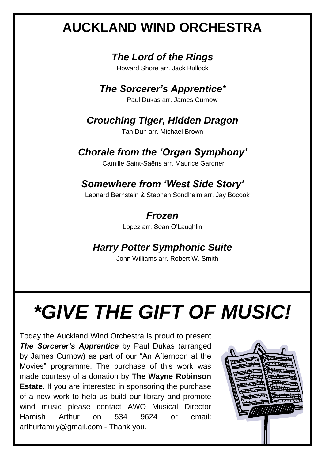# **AUCKLAND WIND ORCHESTRA**

## *The Lord of the Rings*

Howard Shore arr. Jack Bullock

### *The Sorcerer's Apprentice\**

Paul Dukas arr. James Curnow

## *Crouching Tiger, Hidden Dragon*

Tan Dun arr. Michael Brown

## *Chorale from the 'Organ Symphony'*

Camille Saint-Saëns arr. Maurice Gardner

# *Somewhere from 'West Side Story'*

Leonard Bernstein & Stephen Sondheim arr. Jay Bocook

## *Frozen*

Lopez arr. Sean O'Laughlin

## *Harry Potter Symphonic Suite*

John Williams arr. Robert W. Smith

# *\*GIVE THE GIFT OF MUSIC!*

Today the Auckland Wind Orchestra is proud to present *The Sorcerer's Apprentice* by Paul Dukas (arranged by James Curnow) as part of our "An Afternoon at the Movies" programme. The purchase of this work was made courtesy of a donation by **The Wayne Robinson Estate**. If you are interested in sponsoring the purchase of a new work to help us build our library and promote wind music please contact AWO Musical Director Hamish Arthur on 534 9624 or email: arthurfamily@gmail.com - Thank you.